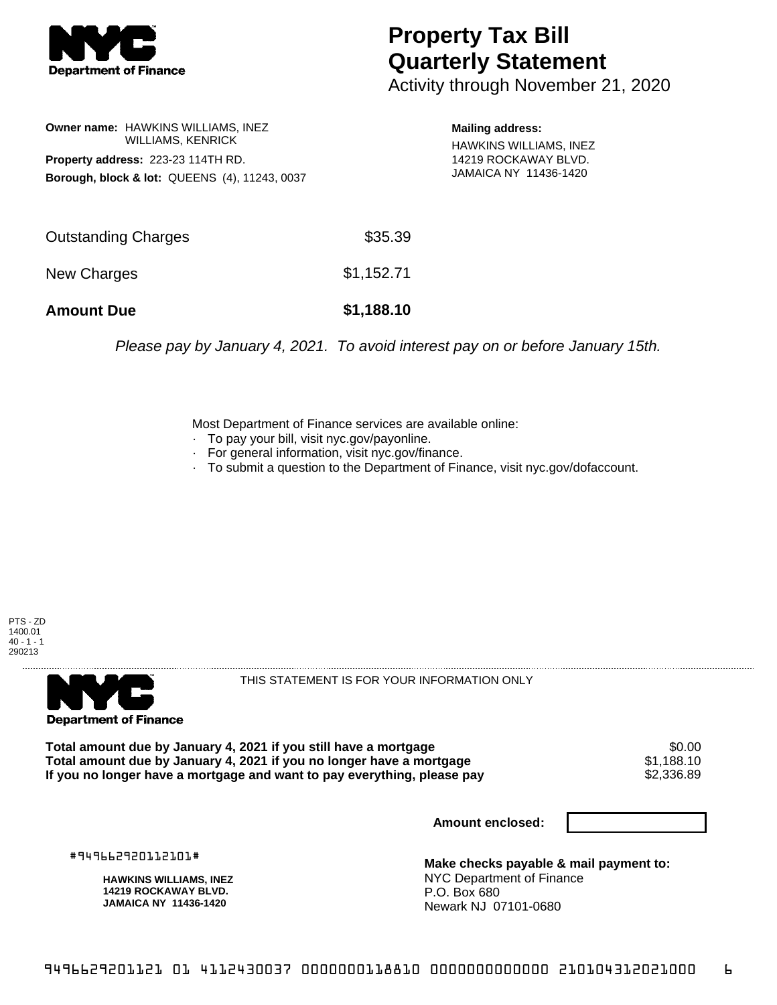

## **Property Tax Bill Quarterly Statement**

Activity through November 21, 2020

**Owner name:** HAWKINS WILLIAMS, INEZ WILLIAMS, KENRICK **Property address:** 223-23 114TH RD. **Borough, block & lot:** QUEENS (4), 11243, 0037

**Mailing address:** HAWKINS WILLIAMS, INEZ 14219 ROCKAWAY BLVD. JAMAICA NY 11436-1420

| <b>Amount Due</b>   | \$1,188.10 |
|---------------------|------------|
| New Charges         | \$1,152.71 |
| Outstanding Charges | \$35.39    |

Please pay by January 4, 2021. To avoid interest pay on or before January 15th.

Most Department of Finance services are available online:

- · To pay your bill, visit nyc.gov/payonline.
- For general information, visit nyc.gov/finance.
- · To submit a question to the Department of Finance, visit nyc.gov/dofaccount.





THIS STATEMENT IS FOR YOUR INFORMATION ONLY

Total amount due by January 4, 2021 if you still have a mortgage \$0.00<br>Total amount due by January 4, 2021 if you no longer have a mortgage \$1.188.10 **Total amount due by January 4, 2021 if you no longer have a mortgage \$1,188.10<br>If you no longer have a mortgage and want to pay everything, please pay \$2,336.89** If you no longer have a mortgage and want to pay everything, please pay

**Amount enclosed:**

#949662920112101#

**HAWKINS WILLIAMS, INEZ 14219 ROCKAWAY BLVD. JAMAICA NY 11436-1420**

**Make checks payable & mail payment to:** NYC Department of Finance P.O. Box 680 Newark NJ 07101-0680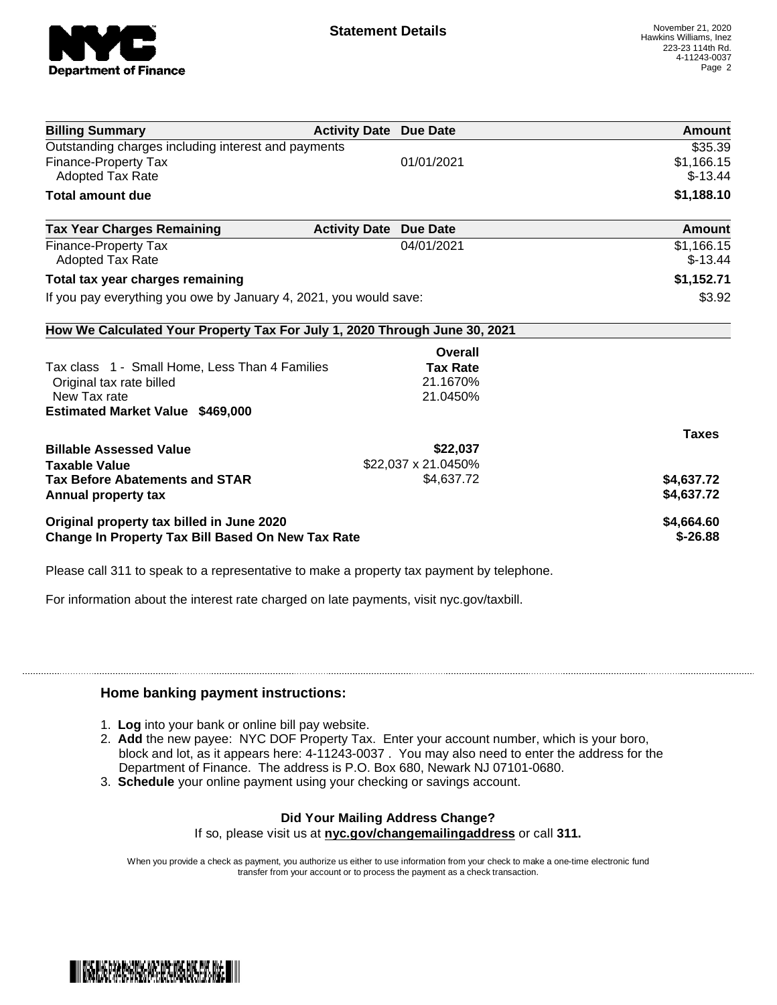

| <b>Billing Summary</b>                                                     | <b>Activity Date Due Date</b> |                     | Amount       |
|----------------------------------------------------------------------------|-------------------------------|---------------------|--------------|
| Outstanding charges including interest and payments                        |                               |                     | \$35.39      |
| Finance-Property Tax                                                       |                               | 01/01/2021          | \$1,166.15   |
| Adopted Tax Rate                                                           |                               |                     | $$-13.44$    |
| <b>Total amount due</b>                                                    |                               |                     | \$1,188.10   |
| <b>Tax Year Charges Remaining</b>                                          | <b>Activity Date</b>          | <b>Due Date</b>     | Amount       |
| Finance-Property Tax                                                       |                               | 04/01/2021          | \$1,166.15   |
| Adopted Tax Rate                                                           |                               |                     | $$-13.44$    |
| Total tax year charges remaining                                           |                               |                     | \$1,152.71   |
| If you pay everything you owe by January 4, 2021, you would save:          |                               |                     | \$3.92       |
| How We Calculated Your Property Tax For July 1, 2020 Through June 30, 2021 |                               |                     |              |
|                                                                            |                               | Overall             |              |
| Tax class 1 - Small Home, Less Than 4 Families                             |                               | <b>Tax Rate</b>     |              |
| Original tax rate billed                                                   |                               | 21.1670%            |              |
| New Tax rate                                                               |                               | 21.0450%            |              |
| <b>Estimated Market Value \$469,000</b>                                    |                               |                     |              |
|                                                                            |                               |                     | <b>Taxes</b> |
| <b>Billable Assessed Value</b>                                             |                               | \$22,037            |              |
| <b>Taxable Value</b>                                                       |                               | \$22,037 x 21.0450% |              |
| <b>Tax Before Abatements and STAR</b>                                      |                               | \$4,637.72          | \$4,637.72   |
| Annual property tax                                                        |                               |                     | \$4,637.72   |
| Original property tax billed in June 2020                                  |                               |                     | \$4,664.60   |
| <b>Change In Property Tax Bill Based On New Tax Rate</b>                   |                               |                     | $$ -26.88$   |

Please call 311 to speak to a representative to make a property tax payment by telephone.

For information about the interest rate charged on late payments, visit nyc.gov/taxbill.

## **Home banking payment instructions:**

- 1. **Log** into your bank or online bill pay website.
- 2. **Add** the new payee: NYC DOF Property Tax. Enter your account number, which is your boro, block and lot, as it appears here: 4-11243-0037 . You may also need to enter the address for the Department of Finance. The address is P.O. Box 680, Newark NJ 07101-0680.
- 3. **Schedule** your online payment using your checking or savings account.

## **Did Your Mailing Address Change?**

If so, please visit us at **nyc.gov/changemailingaddress** or call **311.**

When you provide a check as payment, you authorize us either to use information from your check to make a one-time electronic fund transfer from your account or to process the payment as a check transaction.